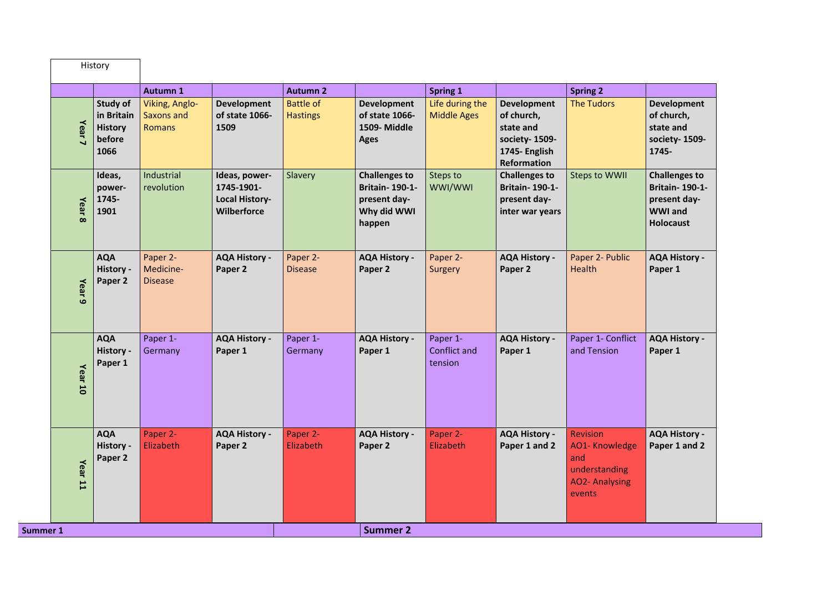|                                 |                                                            | <b>Autumn 1</b>                                      |                                                                     | <b>Autumn 2</b>                     |                                                                                        | <b>Spring 1</b>                            |                                                                                                       | <b>Spring 2</b>                                                                             |                                                                                                     |
|---------------------------------|------------------------------------------------------------|------------------------------------------------------|---------------------------------------------------------------------|-------------------------------------|----------------------------------------------------------------------------------------|--------------------------------------------|-------------------------------------------------------------------------------------------------------|---------------------------------------------------------------------------------------------|-----------------------------------------------------------------------------------------------------|
| Year <sub>7</sub>               | Study of<br>in Britain<br><b>History</b><br>before<br>1066 | <b>Viking, Anglo-</b><br>Saxons and<br><b>Romans</b> | <b>Development</b><br>of state 1066-<br>1509                        | <b>Battle of</b><br><b>Hastings</b> | <b>Development</b><br>of state 1066-<br>1509-Middle<br><b>Ages</b>                     | Life during the<br><b>Middle Ages</b>      | <b>Development</b><br>of church,<br>state and<br>society-1509-<br>1745- English<br><b>Reformation</b> | <b>The Tudors</b>                                                                           | <b>Development</b><br>of church,<br>state and<br>society-1509-<br>1745-                             |
| Year<br>$\infty$                | Ideas,<br>power-<br>1745-<br>1901                          | Industrial<br>revolution                             | Ideas, power-<br>1745-1901-<br><b>Local History-</b><br>Wilberforce | Slavery                             | <b>Challenges to</b><br><b>Britain-190-1-</b><br>present day-<br>Why did WWI<br>happen | Steps to<br>WWI/WWI                        | <b>Challenges to</b><br><b>Britain-190-1-</b><br>present day-<br>inter war years                      | <b>Steps to WWII</b>                                                                        | <b>Challenges to</b><br><b>Britain-190-1-</b><br>present day-<br><b>WWI</b> and<br><b>Holocaust</b> |
| Year<br>$\bullet$               | <b>AQA</b><br>History -<br>Paper 2                         | Paper 2-<br>Medicine-<br><b>Disease</b>              | <b>AQA History -</b><br>Paper 2                                     | Paper 2-<br><b>Disease</b>          | <b>AQA History -</b><br>Paper 2                                                        | Paper 2-<br>Surgery                        | <b>AQA History -</b><br>Paper 2                                                                       | Paper 2- Public<br>Health                                                                   | <b>AQA History -</b><br>Paper 1                                                                     |
| Year<br>$\overline{\mathbf{0}}$ | <b>AQA</b><br>History -<br>Paper 1                         | Paper 1-<br>Germany                                  | <b>AQA History -</b><br>Paper 1                                     | Paper 1-<br>Germany                 | <b>AQA History -</b><br>Paper 1                                                        | Paper 1-<br><b>Conflict and</b><br>tension | <b>AQA History -</b><br>Paper 1                                                                       | Paper 1- Conflict<br>and Tension                                                            | <b>AQA History -</b><br>Paper 1                                                                     |
| Year <sub>11</sub>              | <b>AQA</b><br>History -<br>Paper 2                         | Paper 2-<br>Elizabeth                                | <b>AQA History -</b><br>Paper 2                                     | Paper 2-<br>Elizabeth               | <b>AQA History -</b><br>Paper 2                                                        | Paper 2-<br>Elizabeth                      | <b>AQA History -</b><br>Paper 1 and 2                                                                 | <b>Revision</b><br>AO1-Knowledge<br>and<br>understanding<br><b>AO2- Analysing</b><br>events | <b>AQA History -</b><br>Paper 1 and 2                                                               |